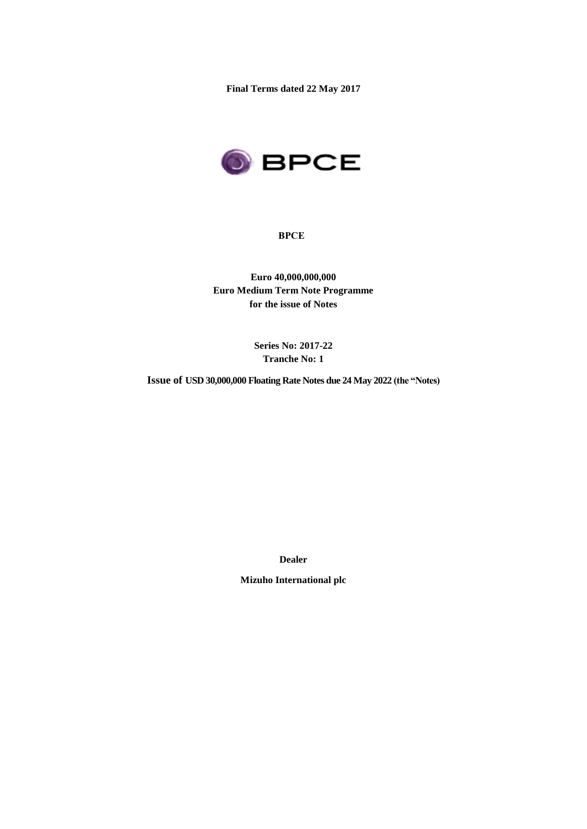**Final Terms dated 22 May 2017**



**BPCE**

**Euro 40,000,000,000 Euro Medium Term Note Programme for the issue of Notes**

> **Series No: 2017-22 Tranche No: 1**

**Issue of USD 30,000,000 Floating Rate Notes due 24 May 2022 (the "Notes)**

**Dealer**

**Mizuho International plc**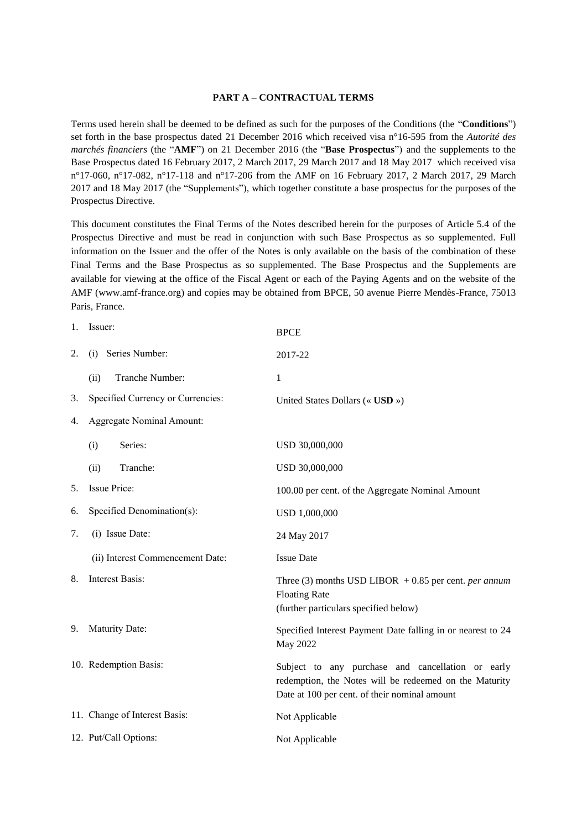#### **PART A – CONTRACTUAL TERMS**

Terms used herein shall be deemed to be defined as such for the purposes of the Conditions (the "**Conditions**") set forth in the base prospectus dated 21 December 2016 which received visa n°16-595 from the *Autorité des marchés financiers* (the "**AMF**") on 21 December 2016 (the "**Base Prospectus**") and the supplements to the Base Prospectus dated 16 February 2017, 2 March 2017, 29 March 2017 and 18 May 2017 which received visa n°17-060, n°17-082, n°17-118 and n°17-206 from the AMF on 16 February 2017, 2 March 2017, 29 March 2017 and 18 May 2017 (the "Supplements"), which together constitute a base prospectus for the purposes of the Prospectus Directive.

This document constitutes the Final Terms of the Notes described herein for the purposes of Article 5.4 of the Prospectus Directive and must be read in conjunction with such Base Prospectus as so supplemented. Full information on the Issuer and the offer of the Notes is only available on the basis of the combination of these Final Terms and the Base Prospectus as so supplemented. The Base Prospectus and the Supplements are available for viewing at the office of the Fiscal Agent or each of the Paying Agents and on the website of the AMF (www.amf-france.org) and copies may be obtained from BPCE, 50 avenue Pierre Mendès-France, 75013 Paris, France.

| 1. | Issuer:                           | <b>BPCE</b>                                                                                                                                                  |
|----|-----------------------------------|--------------------------------------------------------------------------------------------------------------------------------------------------------------|
| 2. | Series Number:<br>(i)             | 2017-22                                                                                                                                                      |
|    | Tranche Number:<br>(ii)           | $\mathbf{1}$                                                                                                                                                 |
| 3. | Specified Currency or Currencies: | United States Dollars (« USD »)                                                                                                                              |
| 4. | <b>Aggregate Nominal Amount:</b>  |                                                                                                                                                              |
|    | Series:<br>(i)                    | USD 30,000,000                                                                                                                                               |
|    | Tranche:<br>(ii)                  | USD 30,000,000                                                                                                                                               |
| 5. | <b>Issue Price:</b>               | 100.00 per cent. of the Aggregate Nominal Amount                                                                                                             |
| 6. | Specified Denomination(s):        | USD 1,000,000                                                                                                                                                |
| 7. | (i) Issue Date:                   | 24 May 2017                                                                                                                                                  |
|    | (ii) Interest Commencement Date:  | <b>Issue Date</b>                                                                                                                                            |
| 8. | Interest Basis:                   | Three (3) months USD LIBOR $+0.85$ per cent. <i>per annum</i><br><b>Floating Rate</b><br>(further particulars specified below)                               |
| 9. | Maturity Date:                    | Specified Interest Payment Date falling in or nearest to 24<br>May 2022                                                                                      |
|    | 10. Redemption Basis:             | Subject to any purchase and cancellation or early<br>redemption, the Notes will be redeemed on the Maturity<br>Date at 100 per cent. of their nominal amount |
|    | 11. Change of Interest Basis:     | Not Applicable                                                                                                                                               |
|    | 12. Put/Call Options:             | Not Applicable                                                                                                                                               |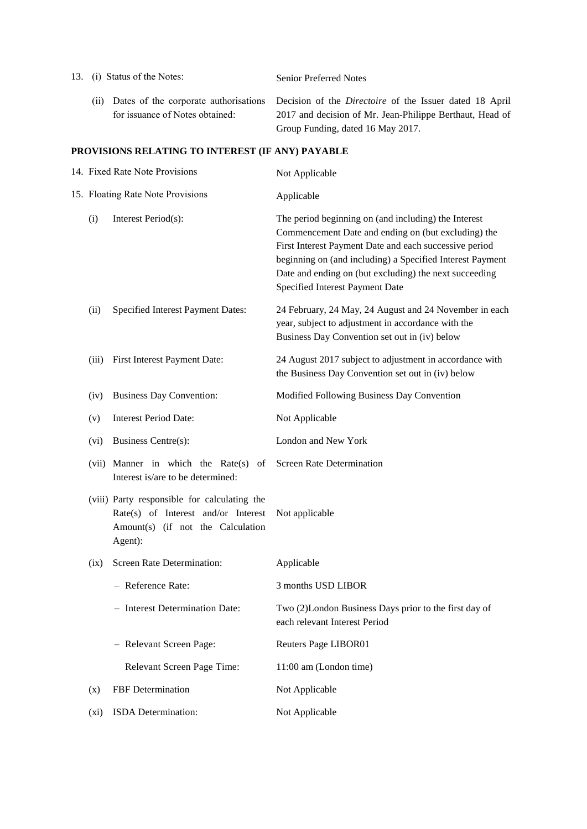| 13. (i) Status of the Notes: |       |                                 | <b>Senior Preferred Notes</b>                                                                                                                                                                         |  |
|------------------------------|-------|---------------------------------|-------------------------------------------------------------------------------------------------------------------------------------------------------------------------------------------------------|--|
|                              | (11). | for issuance of Notes obtained: | Dates of the corporate authorisations Decision of the <i>Directoire</i> of the Issuer dated 18 April<br>2017 and decision of Mr. Jean-Philippe Berthaut, Head of<br>Group Funding, dated 16 May 2017. |  |

# **PROVISIONS RELATING TO INTEREST (IF ANY) PAYABLE**

| 14. Fixed Rate Note Provisions    |                                                                                                                                     | Not Applicable                                                                                                                                                                                                                                                                                                                  |
|-----------------------------------|-------------------------------------------------------------------------------------------------------------------------------------|---------------------------------------------------------------------------------------------------------------------------------------------------------------------------------------------------------------------------------------------------------------------------------------------------------------------------------|
| 15. Floating Rate Note Provisions |                                                                                                                                     | Applicable                                                                                                                                                                                                                                                                                                                      |
| (i)                               | Interest Period(s):                                                                                                                 | The period beginning on (and including) the Interest<br>Commencement Date and ending on (but excluding) the<br>First Interest Payment Date and each successive period<br>beginning on (and including) a Specified Interest Payment<br>Date and ending on (but excluding) the next succeeding<br>Specified Interest Payment Date |
| (ii)                              | Specified Interest Payment Dates:                                                                                                   | 24 February, 24 May, 24 August and 24 November in each<br>year, subject to adjustment in accordance with the<br>Business Day Convention set out in (iv) below                                                                                                                                                                   |
| (iii)                             | First Interest Payment Date:                                                                                                        | 24 August 2017 subject to adjustment in accordance with<br>the Business Day Convention set out in (iv) below                                                                                                                                                                                                                    |
| (iv)                              | <b>Business Day Convention:</b>                                                                                                     | Modified Following Business Day Convention                                                                                                                                                                                                                                                                                      |
| (v)                               | <b>Interest Period Date:</b>                                                                                                        | Not Applicable                                                                                                                                                                                                                                                                                                                  |
| (vi)                              | Business Centre(s):                                                                                                                 | London and New York                                                                                                                                                                                                                                                                                                             |
|                                   | (vii) Manner in which the Rate(s)<br>of<br>Interest is/are to be determined:                                                        | <b>Screen Rate Determination</b>                                                                                                                                                                                                                                                                                                |
|                                   | (viii) Party responsible for calculating the<br>Rate(s) of Interest and/or Interest<br>Amount(s) (if not the Calculation<br>Agent): | Not applicable                                                                                                                                                                                                                                                                                                                  |
| (ix)                              | Screen Rate Determination:                                                                                                          | Applicable                                                                                                                                                                                                                                                                                                                      |
|                                   | - Reference Rate:                                                                                                                   | 3 months USD LIBOR                                                                                                                                                                                                                                                                                                              |
|                                   | - Interest Determination Date:                                                                                                      | Two (2)London Business Days prior to the first day of<br>each relevant Interest Period                                                                                                                                                                                                                                          |
|                                   | - Relevant Screen Page:                                                                                                             | Reuters Page LIBOR01                                                                                                                                                                                                                                                                                                            |
|                                   | Relevant Screen Page Time:                                                                                                          | 11:00 am (London time)                                                                                                                                                                                                                                                                                                          |
| (x)                               | FBF Determination                                                                                                                   | Not Applicable                                                                                                                                                                                                                                                                                                                  |
| (xi)                              | ISDA Determination:                                                                                                                 | Not Applicable                                                                                                                                                                                                                                                                                                                  |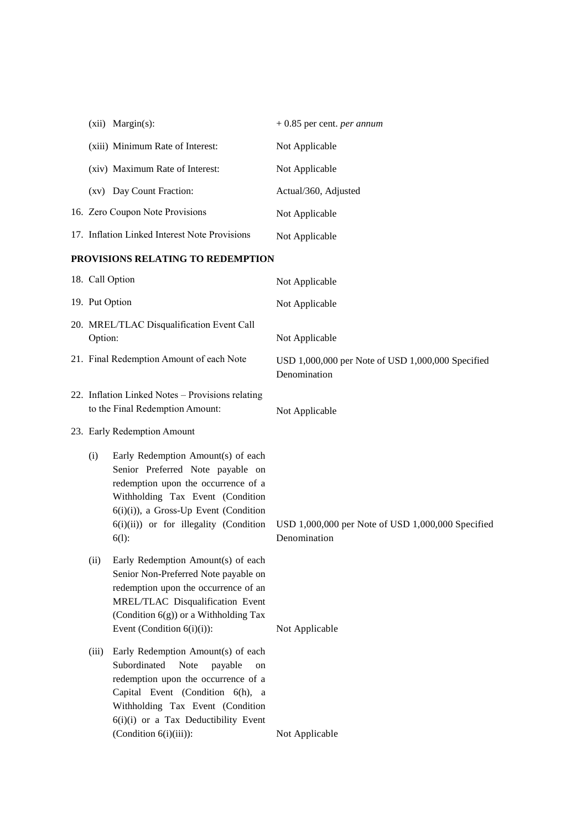|                             |                                                      | (xii) Margin(s):                                                                                                                                                                                                                                                       | $+0.85$ per cent. <i>per annum</i>                                |
|-----------------------------|------------------------------------------------------|------------------------------------------------------------------------------------------------------------------------------------------------------------------------------------------------------------------------------------------------------------------------|-------------------------------------------------------------------|
|                             |                                                      | (xiii) Minimum Rate of Interest:                                                                                                                                                                                                                                       | Not Applicable                                                    |
|                             |                                                      | (xiv) Maximum Rate of Interest:                                                                                                                                                                                                                                        | Not Applicable                                                    |
|                             |                                                      | (xv) Day Count Fraction:                                                                                                                                                                                                                                               | Actual/360, Adjusted                                              |
|                             |                                                      | 16. Zero Coupon Note Provisions                                                                                                                                                                                                                                        | Not Applicable                                                    |
|                             |                                                      | 17. Inflation Linked Interest Note Provisions                                                                                                                                                                                                                          | Not Applicable                                                    |
|                             |                                                      | PROVISIONS RELATING TO REDEMPTION                                                                                                                                                                                                                                      |                                                                   |
|                             | 18. Call Option                                      |                                                                                                                                                                                                                                                                        | Not Applicable                                                    |
|                             | 19. Put Option                                       |                                                                                                                                                                                                                                                                        | Not Applicable                                                    |
|                             | 20. MREL/TLAC Disqualification Event Call<br>Option: |                                                                                                                                                                                                                                                                        | Not Applicable                                                    |
|                             | 21. Final Redemption Amount of each Note             |                                                                                                                                                                                                                                                                        | USD 1,000,000 per Note of USD 1,000,000 Specified<br>Denomination |
|                             |                                                      | 22. Inflation Linked Notes - Provisions relating<br>to the Final Redemption Amount:                                                                                                                                                                                    | Not Applicable                                                    |
| 23. Early Redemption Amount |                                                      |                                                                                                                                                                                                                                                                        |                                                                   |
|                             | (i)                                                  | Early Redemption Amount(s) of each<br>Senior Preferred Note payable on<br>redemption upon the occurrence of a<br>Withholding Tax Event (Condition<br>6(i)(i)), a Gross-Up Event (Condition<br>6(i)(ii)) or for illegality (Condition<br>$6(1)$ :                       | USD 1,000,000 per Note of USD 1,000,000 Specified<br>Denomination |
|                             | (ii)                                                 | Early Redemption Amount(s) of each<br>Senior Non-Preferred Note payable on<br>redemption upon the occurrence of an<br>MREL/TLAC Disqualification Event<br>(Condition 6(g)) or a Withholding Tax<br>Event (Condition $6(i)(i)$ ):                                       | Not Applicable                                                    |
|                             | (iii)                                                | Early Redemption Amount(s) of each<br>Subordinated<br><b>Note</b><br>payable<br>on<br>redemption upon the occurrence of a<br>Capital Event (Condition 6(h), a<br>Withholding Tax Event (Condition<br>6(i)(i) or a Tax Deductibility Event<br>$(Condition 6(i)(iii))$ : | Not Applicable                                                    |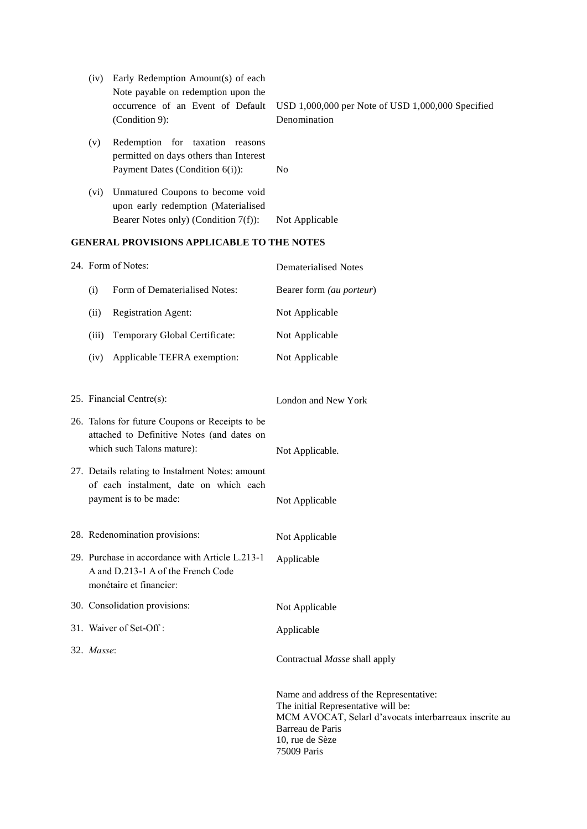| (iv)                                       | Early Redemption Amount(s) of each<br>Note payable on redemption upon the<br>occurrence of an Event of Default<br>$(Condition 9)$ : | USD $1,000,000$ per Note of USD $1,000,000$ Specified<br>Denomination |  |
|--------------------------------------------|-------------------------------------------------------------------------------------------------------------------------------------|-----------------------------------------------------------------------|--|
| (v)                                        | Redemption for taxation reasons<br>permitted on days others than Interest<br>Payment Dates (Condition $6(i)$ ):                     | N <sub>0</sub>                                                        |  |
| (vi)                                       | Unmatured Coupons to become void<br>upon early redemption (Materialised<br>Bearer Notes only) (Condition $7(f)$ ):                  | Not Applicable                                                        |  |
| GENERAL PROVISIONS APPLICABLE TO THE NOTES |                                                                                                                                     |                                                                       |  |

|            | 24. Form of Notes:                                                                                                          | <b>Dematerialised Notes</b>                                                                                                                                                                    |
|------------|-----------------------------------------------------------------------------------------------------------------------------|------------------------------------------------------------------------------------------------------------------------------------------------------------------------------------------------|
| (i)        | Form of Dematerialised Notes:                                                                                               | Bearer form (au porteur)                                                                                                                                                                       |
| (ii)       | <b>Registration Agent:</b>                                                                                                  | Not Applicable                                                                                                                                                                                 |
| (iii)      | Temporary Global Certificate:                                                                                               | Not Applicable                                                                                                                                                                                 |
| (iv)       | Applicable TEFRA exemption:                                                                                                 | Not Applicable                                                                                                                                                                                 |
|            | 25. Financial Centre(s):                                                                                                    | London and New York                                                                                                                                                                            |
|            | 26. Talons for future Coupons or Receipts to be<br>attached to Definitive Notes (and dates on<br>which such Talons mature): | Not Applicable.                                                                                                                                                                                |
|            | 27. Details relating to Instalment Notes: amount<br>of each instalment, date on which each<br>payment is to be made:        | Not Applicable                                                                                                                                                                                 |
|            | 28. Redenomination provisions:                                                                                              | Not Applicable                                                                                                                                                                                 |
|            | 29. Purchase in accordance with Article L.213-1<br>A and D.213-1 A of the French Code<br>monétaire et financier:            | Applicable                                                                                                                                                                                     |
|            | 30. Consolidation provisions:                                                                                               | Not Applicable                                                                                                                                                                                 |
|            | 31. Waiver of Set-Off:                                                                                                      | Applicable                                                                                                                                                                                     |
| 32. Masse: |                                                                                                                             | Contractual Masse shall apply                                                                                                                                                                  |
|            |                                                                                                                             | Name and address of the Representative:<br>The initial Representative will be:<br>MCM AVOCAT, Selarl d'avocats interbarreaux inscrite au<br>Barreau de Paris<br>10, rue de Sèze<br>75009 Paris |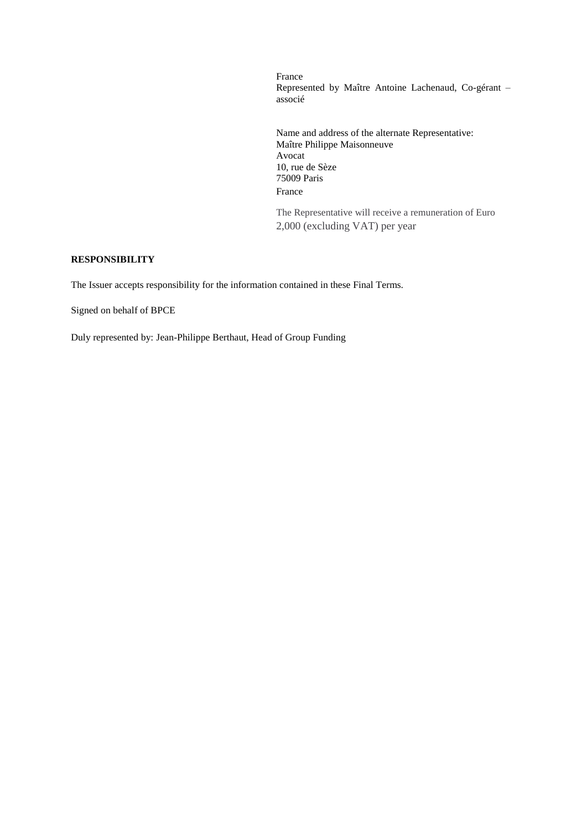France Represented by Maître Antoine Lachenaud, Co-gérant – associé

Name and address of the alternate Representative: Maître Philippe Maisonneuve Avocat 10, rue de Sèze 75009 Paris France

The Representative will receive a remuneration of Euro 2,000 (excluding VAT) per year

### **RESPONSIBILITY**

The Issuer accepts responsibility for the information contained in these Final Terms.

Signed on behalf of BPCE

Duly represented by: Jean-Philippe Berthaut, Head of Group Funding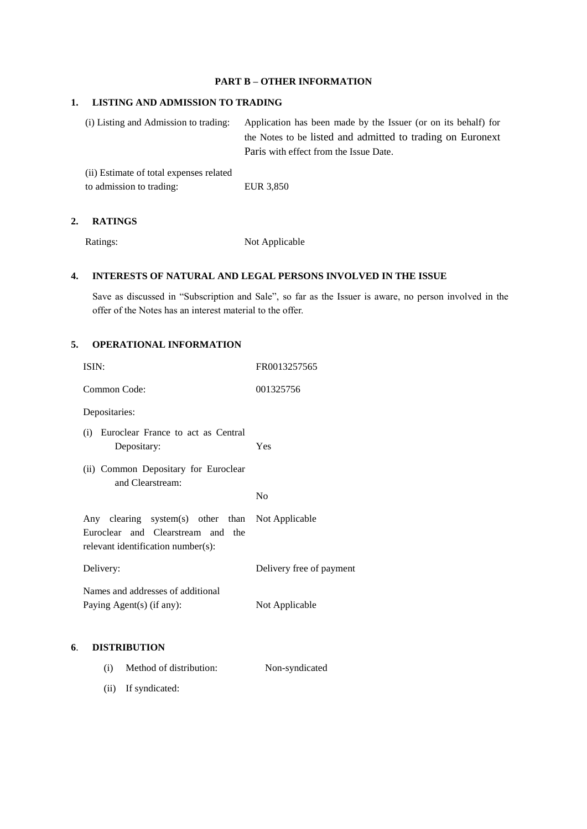### **PART B – OTHER INFORMATION**

#### **1. LISTING AND ADMISSION TO TRADING**

(i) Listing and Admission to trading: Application has been made by the Issuer (or on its behalf) for the Notes to be listed and admitted to trading on Euronext Paris with effect from the Issue Date.

(ii) Estimate of total expenses related to admission to trading: EUR 3,850

### **2. RATINGS**

Ratings: Not Applicable

## **4. INTERESTS OF NATURAL AND LEGAL PERSONS INVOLVED IN THE ISSUE**

Save as discussed in "Subscription and Sale", so far as the Issuer is aware, no person involved in the offer of the Notes has an interest material to the offer.

# **5. OPERATIONAL INFORMATION**

|    | ISIN:                                                                                                                       | FR0013257565             |
|----|-----------------------------------------------------------------------------------------------------------------------------|--------------------------|
|    | Common Code:                                                                                                                | 001325756                |
|    | Depositaries:                                                                                                               |                          |
|    | (i) Euroclear France to act as Central<br>Depositary:                                                                       | Yes                      |
|    | (ii) Common Depositary for Euroclear<br>and Clearstream:                                                                    | N <sub>0</sub>           |
|    | Any clearing system(s) other than Not Applicable<br>Euroclear and Clearstream and the<br>relevant identification number(s): |                          |
|    | Delivery:                                                                                                                   | Delivery free of payment |
|    | Names and addresses of additional<br>Paying Agent(s) (if any):                                                              | Not Applicable           |
| 6. | <b>DISTRIBUTION</b>                                                                                                         |                          |
|    | Method of distribution:<br>(i)                                                                                              | Non-syndicated           |

(ii) If syndicated: